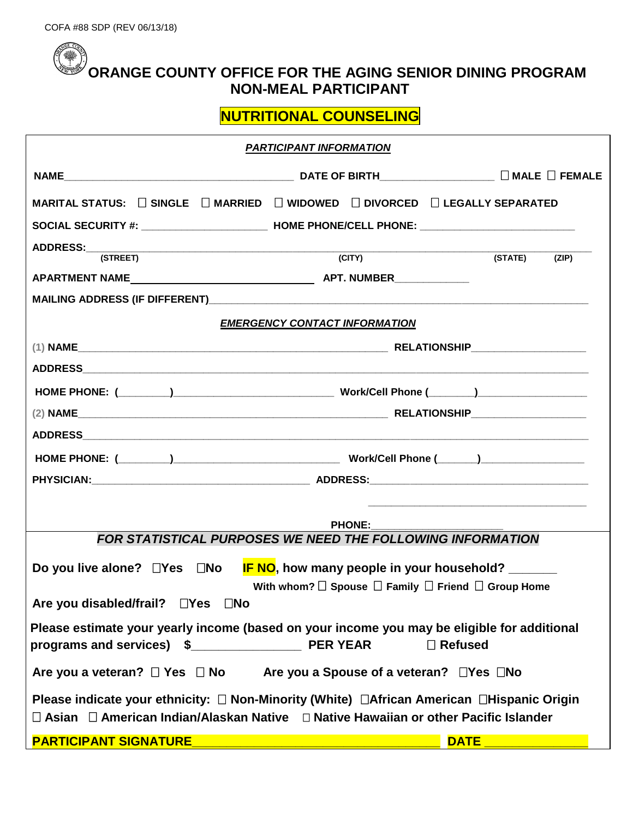## **ORANGE COUNTY OFFICE FOR THE AGING SENIOR DINING PROGRAM NON-MEAL PARTICIPANT**

**NUTRITIONAL COUNSELING**

| <b>PARTICIPANT INFORMATION</b>                                                                                                                                                                                                 |        |                  |  |  |
|--------------------------------------------------------------------------------------------------------------------------------------------------------------------------------------------------------------------------------|--------|------------------|--|--|
|                                                                                                                                                                                                                                |        |                  |  |  |
| MARITAL STATUS: $\quad \Box$ SINGLE $\quad \Box$ MARRIED $\quad \Box$ WIDOWED $\quad \Box$ DIVORCED $\quad \Box$ LEGALLY SEPARATED                                                                                             |        |                  |  |  |
| SOCIAL SECURITY #: _______________________________ HOME PHONE/CELL PHONE: _________________________                                                                                                                            |        |                  |  |  |
| ADDRESS:<br>(STREET)                                                                                                                                                                                                           | (TITY) | (STATE)<br>(ZIP) |  |  |
|                                                                                                                                                                                                                                |        |                  |  |  |
|                                                                                                                                                                                                                                |        |                  |  |  |
| <b>EMERGENCY CONTACT INFORMATION</b>                                                                                                                                                                                           |        |                  |  |  |
|                                                                                                                                                                                                                                |        |                  |  |  |
| ADDRESS AND ALL AND A CONTROL AND A CONTROL AND A CONTROL AND A CONTROL AND A CONTROL AND A CONTROL AND A CONTROL AND A CONTROL AND A CONTROL AND A CONTROL AND A CONTROL AND A CONTROL AND A CONTROL AND A CONTROL AND A CONT |        |                  |  |  |
|                                                                                                                                                                                                                                |        |                  |  |  |
|                                                                                                                                                                                                                                |        |                  |  |  |
|                                                                                                                                                                                                                                |        |                  |  |  |
|                                                                                                                                                                                                                                |        |                  |  |  |
|                                                                                                                                                                                                                                |        |                  |  |  |
|                                                                                                                                                                                                                                |        |                  |  |  |
| <b>PHONE:</b>                                                                                                                                                                                                                  |        |                  |  |  |
| <b>FOR STATISTICAL PURPOSES WE NEED THE FOLLOWING INFORMATION</b>                                                                                                                                                              |        |                  |  |  |
| Do you live alone? $\Box$ Yes $\Box$ No IF NO, how many people in your household? _____                                                                                                                                        |        |                  |  |  |
| With whom? $\Box$ Spouse $\Box$ Family $\Box$ Friend $\Box$ Group Home<br>Are you disabled/frail? □Yes □No                                                                                                                     |        |                  |  |  |
| Please estimate your yearly income (based on your income you may be eligible for additional                                                                                                                                    |        |                  |  |  |
|                                                                                                                                                                                                                                |        | $\Box$ Refused   |  |  |
| Are you a veteran? $\Box$ Yes $\Box$ No Are you a Spouse of a veteran? $\Box$ Yes $\Box$ No                                                                                                                                    |        |                  |  |  |
| Please indicate your ethnicity: □ Non-Minority (White) □ African American □ Hispanic Origin<br>□ Asian □ American Indian/Alaskan Native □ Native Hawaiian or other Pacific Islander                                            |        |                  |  |  |
| PARTICIPANT SIGNATURE _______________________                                                                                                                                                                                  |        | <b>DATE</b>      |  |  |